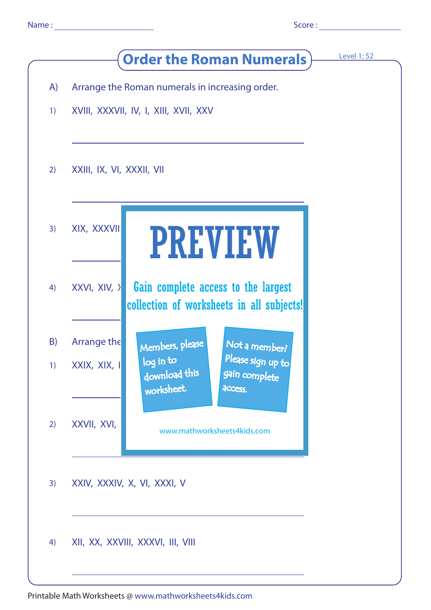